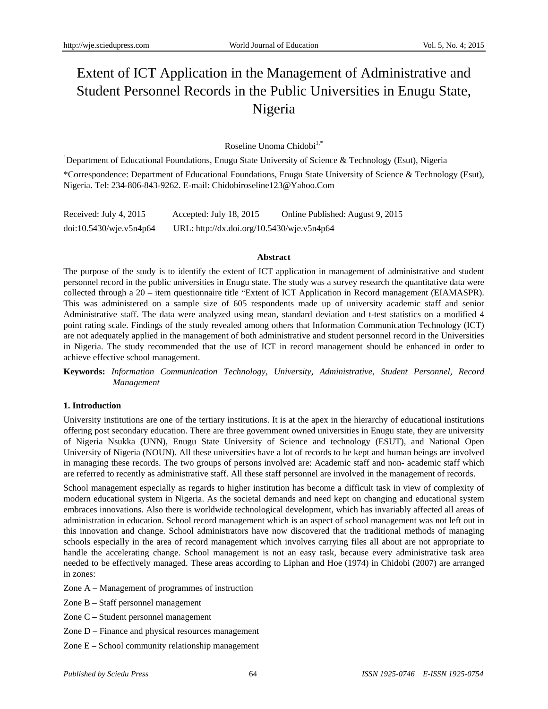# Extent of ICT Application in the Management of Administrative and Student Personnel Records in the Public Universities in Enugu State, Nigeria

Roseline Unoma Chidobi $1,$ \*

<sup>1</sup>Department of Educational Foundations, Enugu State University of Science & Technology (Esut), Nigeria

\*Correspondence: Department of Educational Foundations, Enugu State University of Science & Technology (Esut), Nigeria. Tel: 234-806-843-9262. E-mail: Chidobiroseline123@Yahoo.Com

Received: July 4, 2015 Accepted: July 18, 2015 Online Published: August 9, 2015 doi:10.5430/wje.v5n4p64 URL: http://dx.doi.org/10.5430/wje.v5n4p64

#### **Abstract**

The purpose of the study is to identify the extent of ICT application in management of administrative and student personnel record in the public universities in Enugu state. The study was a survey research the quantitative data were collected through a 20 – item questionnaire title "Extent of ICT Application in Record management (EIAMASPR). This was administered on a sample size of 605 respondents made up of university academic staff and senior Administrative staff. The data were analyzed using mean, standard deviation and t-test statistics on a modified 4 point rating scale. Findings of the study revealed among others that Information Communication Technology (ICT) are not adequately applied in the management of both administrative and student personnel record in the Universities in Nigeria. The study recommended that the use of ICT in record management should be enhanced in order to achieve effective school management.

**Keywords:** *Information Communication Technology, University, Administrative, Student Personnel, Record Management*

#### **1. Introduction**

University institutions are one of the tertiary institutions. It is at the apex in the hierarchy of educational institutions offering post secondary education. There are three government owned universities in Enugu state, they are university of Nigeria Nsukka (UNN), Enugu State University of Science and technology (ESUT), and National Open University of Nigeria (NOUN). All these universities have a lot of records to be kept and human beings are involved in managing these records. The two groups of persons involved are: Academic staff and non- academic staff which are referred to recently as administrative staff. All these staff personnel are involved in the management of records.

School management especially as regards to higher institution has become a difficult task in view of complexity of modern educational system in Nigeria. As the societal demands and need kept on changing and educational system embraces innovations. Also there is worldwide technological development, which has invariably affected all areas of administration in education. School record management which is an aspect of school management was not left out in this innovation and change. School administrators have now discovered that the traditional methods of managing schools especially in the area of record management which involves carrying files all about are not appropriate to handle the accelerating change. School management is not an easy task, because every administrative task area needed to be effectively managed. These areas according to Liphan and Hoe (1974) in Chidobi (2007) are arranged in zones:

- Zone A Management of programmes of instruction
- Zone B Staff personnel management
- Zone C Student personnel management
- Zone D Finance and physical resources management
- Zone E School community relationship management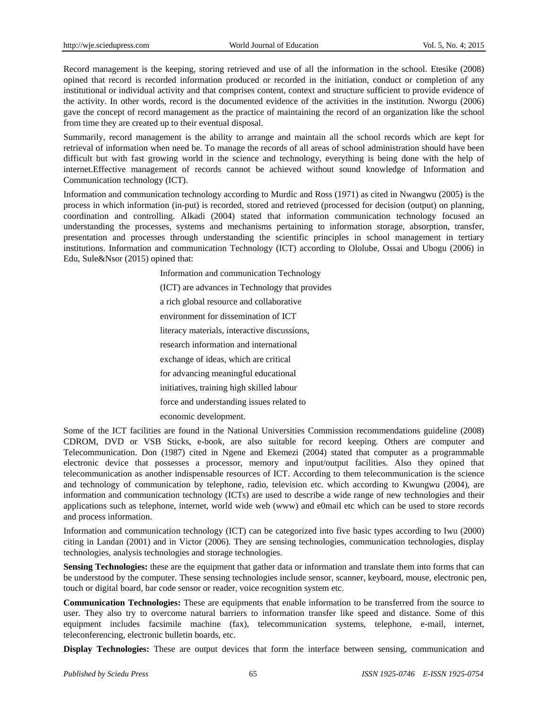Record management is the keeping, storing retrieved and use of all the information in the school. Etesike (2008) opined that record is recorded information produced or recorded in the initiation, conduct or completion of any institutional or individual activity and that comprises content, context and structure sufficient to provide evidence of the activity. In other words, record is the documented evidence of the activities in the institution. Nworgu (2006) gave the concept of record management as the practice of maintaining the record of an organization like the school from time they are created up to their eventual disposal.

Summarily, record management is the ability to arrange and maintain all the school records which are kept for retrieval of information when need be. To manage the records of all areas of school administration should have been difficult but with fast growing world in the science and technology, everything is being done with the help of internet.Effective management of records cannot be achieved without sound knowledge of Information and Communication technology (ICT).

Information and communication technology according to Murdic and Ross (1971) as cited in Nwangwu (2005) is the process in which information (in-put) is recorded, stored and retrieved (processed for decision (output) on planning, coordination and controlling. Alkadi (2004) stated that information communication technology focused an understanding the processes, systems and mechanisms pertaining to information storage, absorption, transfer, presentation and processes through understanding the scientific principles in school management in tertiary institutions. Information and communication Technology (ICT) according to Ololube, Ossai and Ubogu (2006) in Edu, Sule&Nsor (2015) opined that:

Information and communication Technology

(ICT) are advances in Technology that provides

a rich global resource and collaborative

environment for dissemination of ICT

literacy materials, interactive discussions,

research information and international

exchange of ideas, which are critical

for advancing meaningful educational

initiatives, training high skilled labour

force and understanding issues related to

economic development.

Some of the ICT facilities are found in the National Universities Commission recommendations guideline (2008) CDROM, DVD or VSB Sticks, e-book, are also suitable for record keeping. Others are computer and Telecommunication. Don (1987) cited in Ngene and Ekemezi (2004) stated that computer as a programmable electronic device that possesses a processor, memory and input/output facilities. Also they opined that telecommunication as another indispensable resources of ICT. According to them telecommunication is the science and technology of communication by telephone, radio, television etc. which according to Kwungwu (2004), are information and communication technology (ICTs) are used to describe a wide range of new technologies and their applications such as telephone, internet, world wide web (www) and e0mail etc which can be used to store records and process information.

Information and communication technology (ICT) can be categorized into five basic types according to Iwu (2000) citing in Landan (2001) and in Victor (2006). They are sensing technologies, communication technologies, display technologies, analysis technologies and storage technologies.

**Sensing Technologies:** these are the equipment that gather data or information and translate them into forms that can be understood by the computer. These sensing technologies include sensor, scanner, keyboard, mouse, electronic pen, touch or digital board, bar code sensor or reader, voice recognition system etc.

**Communication Technologies:** These are equipments that enable information to be transferred from the source to user. They also try to overcome natural barriers to information transfer like speed and distance. Some of this equipment includes facsimile machine (fax), telecommunication systems, telephone, e-mail, internet, teleconferencing, electronic bulletin boards, etc.

**Display Technologies:** These are output devices that form the interface between sensing, communication and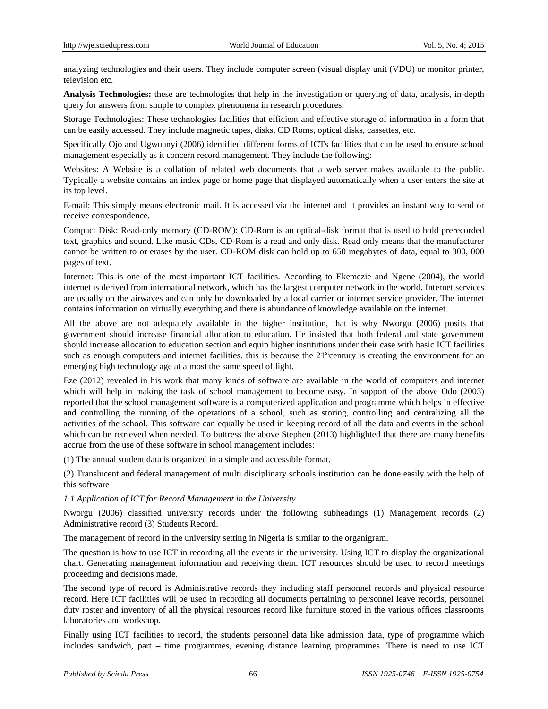analyzing technologies and their users. They include computer screen (visual display unit (VDU) or monitor printer, television etc.

**Analysis Technologies:** these are technologies that help in the investigation or querying of data, analysis, in-depth query for answers from simple to complex phenomena in research procedures.

Storage Technologies: These technologies facilities that efficient and effective storage of information in a form that can be easily accessed. They include magnetic tapes, disks, CD Roms, optical disks, cassettes, etc.

Specifically Ojo and Ugwuanyi (2006) identified different forms of ICTs facilities that can be used to ensure school management especially as it concern record management. They include the following:

Websites: A Website is a collation of related web documents that a web server makes available to the public. Typically a website contains an index page or home page that displayed automatically when a user enters the site at its top level.

E-mail: This simply means electronic mail. It is accessed via the internet and it provides an instant way to send or receive correspondence.

Compact Disk: Read-only memory (CD-ROM): CD-Rom is an optical-disk format that is used to hold prerecorded text, graphics and sound. Like music CDs, CD-Rom is a read and only disk. Read only means that the manufacturer cannot be written to or erases by the user. CD-ROM disk can hold up to 650 megabytes of data, equal to 300, 000 pages of text.

Internet: This is one of the most important ICT facilities. According to Ekemezie and Ngene (2004), the world internet is derived from international network, which has the largest computer network in the world. Internet services are usually on the airwaves and can only be downloaded by a local carrier or internet service provider. The internet contains information on virtually everything and there is abundance of knowledge available on the internet.

All the above are not adequately available in the higher institution, that is why Nworgu (2006) posits that government should increase financial allocation to education. He insisted that both federal and state government should increase allocation to education section and equip higher institutions under their case with basic ICT facilities such as enough computers and internet facilities. this is because the  $21<sup>st</sup>$ century is creating the environment for an emerging high technology age at almost the same speed of light.

Eze (2012) revealed in his work that many kinds of software are available in the world of computers and internet which will help in making the task of school management to become easy. In support of the above Odo (2003) reported that the school management software is a computerized application and programme which helps in effective and controlling the running of the operations of a school, such as storing, controlling and centralizing all the activities of the school. This software can equally be used in keeping record of all the data and events in the school which can be retrieved when needed. To buttress the above Stephen (2013) highlighted that there are many benefits accrue from the use of these software in school management includes:

(1) The annual student data is organized in a simple and accessible format.

(2) Translucent and federal management of multi disciplinary schools institution can be done easily with the help of this software

#### *1.1 Application of ICT for Record Management in the University*

Nworgu (2006) classified university records under the following subheadings (1) Management records (2) Administrative record (3) Students Record.

The management of record in the university setting in Nigeria is similar to the organigram.

The question is how to use ICT in recording all the events in the university. Using ICT to display the organizational chart. Generating management information and receiving them. ICT resources should be used to record meetings proceeding and decisions made.

The second type of record is Administrative records they including staff personnel records and physical resource record. Here ICT facilities will be used in recording all documents pertaining to personnel leave records, personnel duty roster and inventory of all the physical resources record like furniture stored in the various offices classrooms laboratories and workshop.

Finally using ICT facilities to record, the students personnel data like admission data, type of programme which includes sandwich, part – time programmes, evening distance learning programmes. There is need to use ICT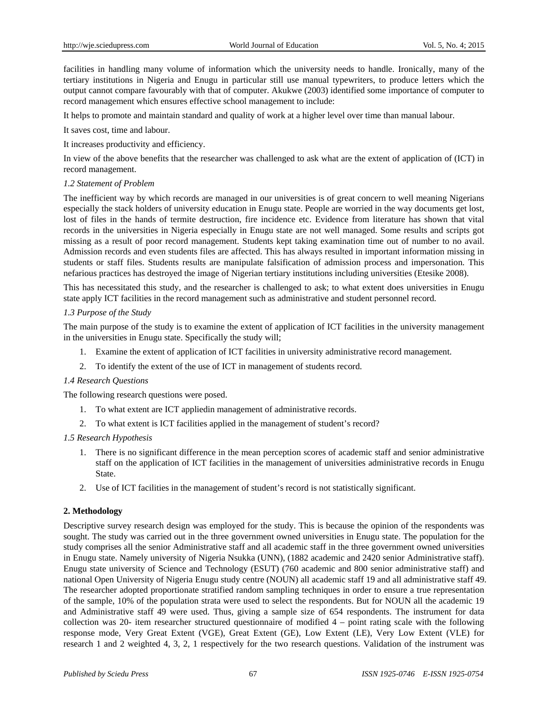facilities in handling many volume of information which the university needs to handle. Ironically, many of the tertiary institutions in Nigeria and Enugu in particular still use manual typewriters, to produce letters which the output cannot compare favourably with that of computer. Akukwe (2003) identified some importance of computer to record management which ensures effective school management to include:

It helps to promote and maintain standard and quality of work at a higher level over time than manual labour.

It saves cost, time and labour.

It increases productivity and efficiency.

In view of the above benefits that the researcher was challenged to ask what are the extent of application of (ICT) in record management.

## *1.2 Statement of Problem*

The inefficient way by which records are managed in our universities is of great concern to well meaning Nigerians especially the stack holders of university education in Enugu state. People are worried in the way documents get lost, lost of files in the hands of termite destruction, fire incidence etc. Evidence from literature has shown that vital records in the universities in Nigeria especially in Enugu state are not well managed. Some results and scripts got missing as a result of poor record management. Students kept taking examination time out of number to no avail. Admission records and even students files are affected. This has always resulted in important information missing in students or staff files. Students results are manipulate falsification of admission process and impersonation. This nefarious practices has destroyed the image of Nigerian tertiary institutions including universities (Etesike 2008).

This has necessitated this study, and the researcher is challenged to ask; to what extent does universities in Enugu state apply ICT facilities in the record management such as administrative and student personnel record.

# *1.3 Purpose of the Study*

The main purpose of the study is to examine the extent of application of ICT facilities in the university management in the universities in Enugu state. Specifically the study will;

- 1. Examine the extent of application of ICT facilities in university administrative record management.
- 2. To identify the extent of the use of ICT in management of students record.

# *1.4 Research Questions*

The following research questions were posed.

- 1. To what extent are ICT appliedin management of administrative records.
- 2. To what extent is ICT facilities applied in the management of student's record?

## *1.5 Research Hypothesis*

- 1. There is no significant difference in the mean perception scores of academic staff and senior administrative staff on the application of ICT facilities in the management of universities administrative records in Enugu State.
- 2. Use of ICT facilities in the management of student's record is not statistically significant.

## **2. Methodology**

Descriptive survey research design was employed for the study. This is because the opinion of the respondents was sought. The study was carried out in the three government owned universities in Enugu state. The population for the study comprises all the senior Administrative staff and all academic staff in the three government owned universities in Enugu state. Namely university of Nigeria Nsukka (UNN), (1882 academic and 2420 senior Administrative staff). Enugu state university of Science and Technology (ESUT) (760 academic and 800 senior administrative staff) and national Open University of Nigeria Enugu study centre (NOUN) all academic staff 19 and all administrative staff 49. The researcher adopted proportionate stratified random sampling techniques in order to ensure a true representation of the sample, 10% of the population strata were used to select the respondents. But for NOUN all the academic 19 and Administrative staff 49 were used. Thus, giving a sample size of 654 respondents. The instrument for data collection was 20- item researcher structured questionnaire of modified 4 – point rating scale with the following response mode, Very Great Extent (VGE), Great Extent (GE), Low Extent (LE), Very Low Extent (VLE) for research 1 and 2 weighted 4, 3, 2, 1 respectively for the two research questions. Validation of the instrument was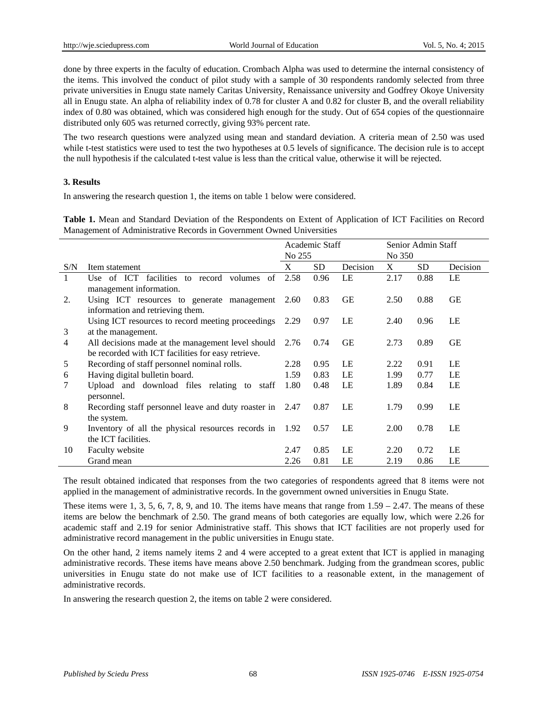done by three experts in the faculty of education. Crombach Alpha was used to determine the internal consistency of the items. This involved the conduct of pilot study with a sample of 30 respondents randomly selected from three private universities in Enugu state namely Caritas University, Renaissance university and Godfrey Okoye University all in Enugu state. An alpha of reliability index of 0.78 for cluster A and 0.82 for cluster B, and the overall reliability index of 0.80 was obtained, which was considered high enough for the study. Out of 654 copies of the questionnaire distributed only 605 was returned correctly, giving 93% percent rate.

The two research questions were analyzed using mean and standard deviation. A criteria mean of 2.50 was used while t-test statistics were used to test the two hypotheses at 0.5 levels of significance. The decision rule is to accept the null hypothesis if the calculated t-test value is less than the critical value, otherwise it will be rejected.

#### **3. Results**

In answering the research question 1, the items on table 1 below were considered.

**Table 1.** Mean and Standard Deviation of the Respondents on Extent of Application of ICT Facilities on Record Management of Administrative Records in Government Owned Universities

|     |                                                          | Academic Staff |      |           | Senior Admin Staff |      |          |
|-----|----------------------------------------------------------|----------------|------|-----------|--------------------|------|----------|
|     |                                                          | No 255         |      |           | No 350             |      |          |
| S/N | Item statement                                           | X              | SD.  | Decision  | X                  | SD.  | Decision |
| 1   | Use of ICT facilities to record volumes<br>of            | 2.58           | 0.96 | LE        | 2.17               | 0.88 | LE       |
|     | management information.                                  |                |      |           |                    |      |          |
| 2.  | Using ICT resources to generate management 2.60          |                | 0.83 | <b>GE</b> | 2.50               | 0.88 | GE       |
|     | information and retrieving them.                         |                |      |           |                    |      |          |
|     | Using ICT resources to record meeting proceedings        | 2.29           | 0.97 | LE        | 2.40               | 0.96 | LE       |
| 3   | at the management.                                       |                |      |           |                    |      |          |
| 4   | All decisions made at the management level should        | 2.76           | 0.74 | GE        | 2.73               | 0.89 | GE       |
|     | be recorded with ICT facilities for easy retrieve.       |                |      |           |                    |      |          |
| 5   | Recording of staff personnel nominal rolls.              | 2.28           | 0.95 | LE        | 2.22               | 0.91 | LE       |
| 6   | Having digital bulletin board.                           | 1.59           | 0.83 | LE        | 1.99               | 0.77 | LE       |
| 7   | Upload and download files relating to staff              | 1.80           | 0.48 | LE        | 1.89               | 0.84 | LE       |
|     | personnel.                                               |                |      |           |                    |      |          |
| 8   | Recording staff personnel leave and duty roaster in 2.47 |                | 0.87 | LE        | 1.79               | 0.99 | LE       |
|     | the system.                                              |                |      |           |                    |      |          |
| 9   | Inventory of all the physical resources records in 1.92  |                | 0.57 | LE        | 2.00               | 0.78 | LE       |
|     | the ICT facilities.                                      |                |      |           |                    |      |          |
| 10  | Faculty website                                          | 2.47           | 0.85 | LE        | 2.20               | 0.72 | LE       |
|     | Grand mean                                               | 2.26           | 0.81 | LE        | 2.19               | 0.86 | LE       |

The result obtained indicated that responses from the two categories of respondents agreed that 8 items were not applied in the management of administrative records. In the government owned universities in Enugu State.

These items were 1, 3, 5, 6, 7, 8, 9, and 10. The items have means that range from  $1.59 - 2.47$ . The means of these items are below the benchmark of 2.50. The grand means of both categories are equally low, which were 2.26 for academic staff and 2.19 for senior Administrative staff. This shows that ICT facilities are not properly used for administrative record management in the public universities in Enugu state.

On the other hand, 2 items namely items 2 and 4 were accepted to a great extent that ICT is applied in managing administrative records. These items have means above 2.50 benchmark. Judging from the grandmean scores, public universities in Enugu state do not make use of ICT facilities to a reasonable extent, in the management of administrative records.

In answering the research question 2, the items on table 2 were considered.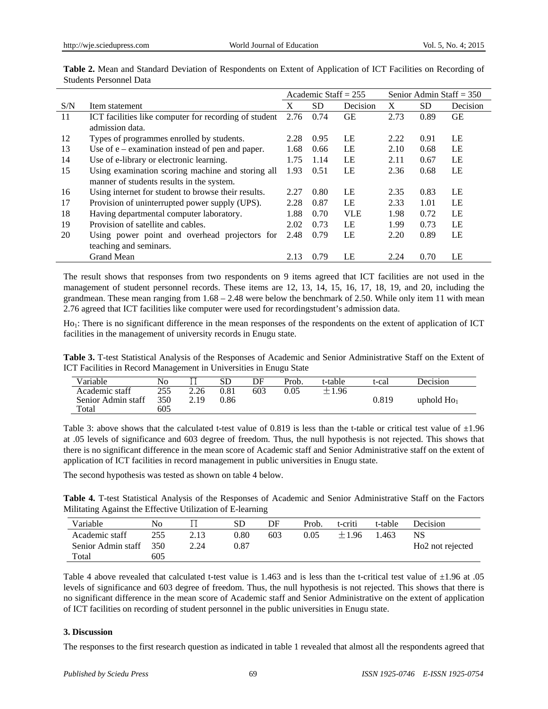|     |                                                       | Academic Staff = $255$ |      |            | Senior Admin Staff = $350$ |      |           |
|-----|-------------------------------------------------------|------------------------|------|------------|----------------------------|------|-----------|
| S/N | Item statement                                        | X                      | SD   | Decision   | X                          | SD.  | Decision  |
| 11  | ICT facilities like computer for recording of student | 2.76                   | 0.74 | GЕ         | 2.73                       | 0.89 | <b>GE</b> |
|     | admission data.                                       |                        |      |            |                            |      |           |
| 12  | Types of programmes enrolled by students.             | 2.28                   | 0.95 | LE         | 2.22                       | 0.91 | LE        |
| 13  | Use of $e$ – examination instead of pen and paper.    | 1.68                   | 0.66 | LE         | 2.10                       | 0.68 | LE        |
| 14  | Use of e-library or electronic learning.              | 1.75                   | 1.14 | LE         | 2.11                       | 0.67 | LE        |
| 15  | Using examination scoring machine and storing all     | 1.93                   | 0.51 | LE         | 2.36                       | 0.68 | LE        |
|     | manner of students results in the system.             |                        |      |            |                            |      |           |
| 16  | Using internet for student to browse their results.   | 2.27                   | 0.80 | LE         | 2.35                       | 0.83 | LE        |
| 17  | Provision of uninterrupted power supply (UPS).        | 2.28                   | 0.87 | LE         | 2.33                       | 1.01 | LE        |
| 18  | Having departmental computer laboratory.              | 1.88                   | 0.70 | <b>VLE</b> | 1.98                       | 0.72 | LE        |
| 19  | Provision of satellite and cables.                    | 2.02                   | 0.73 | LE         | 1.99                       | 0.73 | LE        |
| 20  | Using power point and overhead projectors for         | 2.48                   | 0.79 | LE         | 2.20                       | 0.89 | LE        |
|     | teaching and seminars.                                |                        |      |            |                            |      |           |
|     | <b>Grand Mean</b>                                     | 2.13                   | 0.79 | LE         | 2.24                       | 0.70 | LE        |

**Table 2.** Mean and Standard Deviation of Respondents on Extent of Application of ICT Facilities on Recording of Students Personnel Data

The result shows that responses from two respondents on 9 items agreed that ICT facilities are not used in the management of student personnel records. These items are 12, 13, 14, 15, 16, 17, 18, 19, and 20, including the grandmean. These mean ranging from 1.68 – 2.48 were below the benchmark of 2.50. While only item 11 with mean 2.76 agreed that ICT facilities like computer were used for recordingstudent's admission data.

Ho<sub>1</sub>: There is no significant difference in the mean responses of the respondents on the extent of application of ICT facilities in the management of university records in Enugu state.

**Table 3.** T-test Statistical Analysis of the Responses of Academic and Senior Administrative Staff on the Extent of ICT Facilities in Record Management in Universities in Enugu State

| Variable                                      | No                |              |              | DF  | Prob. | t-table    | t-cal | Decision      |
|-----------------------------------------------|-------------------|--------------|--------------|-----|-------|------------|-------|---------------|
| Academic staff<br>Senior Admin staff<br>Total | 255<br>350<br>605 | 2.26<br>2.19 | 0.81<br>0.86 | 603 | 0.05  | $\pm 1.96$ | 0.819 | uphold $Ho_1$ |

Table 3: above shows that the calculated t-test value of  $0.819$  is less than the t-table or critical test value of  $\pm 1.96$ at .05 levels of significance and 603 degree of freedom. Thus, the null hypothesis is not rejected. This shows that there is no significant difference in the mean score of Academic staff and Senior Administrative staff on the extent of application of ICT facilities in record management in public universities in Enugu state.

The second hypothesis was tested as shown on table 4 below.

**Table 4.** T-test Statistical Analysis of the Responses of Academic and Senior Administrative Staff on the Factors Militating Against the Effective Utilization of E-learning

| Variable               | No  |      | SD   | DF  | Prob. | t-criti | t-table | Decision                     |
|------------------------|-----|------|------|-----|-------|---------|---------|------------------------------|
| Academic staff         | 255 | 2.13 | 0.80 | 603 | 0.05  | $+1.96$ | 1.463   | NS                           |
| Senior Admin staff 350 |     | 2.24 | 0.87 |     |       |         |         | Ho <sub>2</sub> not rejected |
| Total                  | 605 |      |      |     |       |         |         |                              |

Table 4 above revealed that calculated t-test value is 1.463 and is less than the t-critical test value of  $\pm 1.96$  at .05 levels of significance and 603 degree of freedom. Thus, the null hypothesis is not rejected. This shows that there is no significant difference in the mean score of Academic staff and Senior Administrative on the extent of application of ICT facilities on recording of student personnel in the public universities in Enugu state.

## **3. Discussion**

The responses to the first research question as indicated in table 1 revealed that almost all the respondents agreed that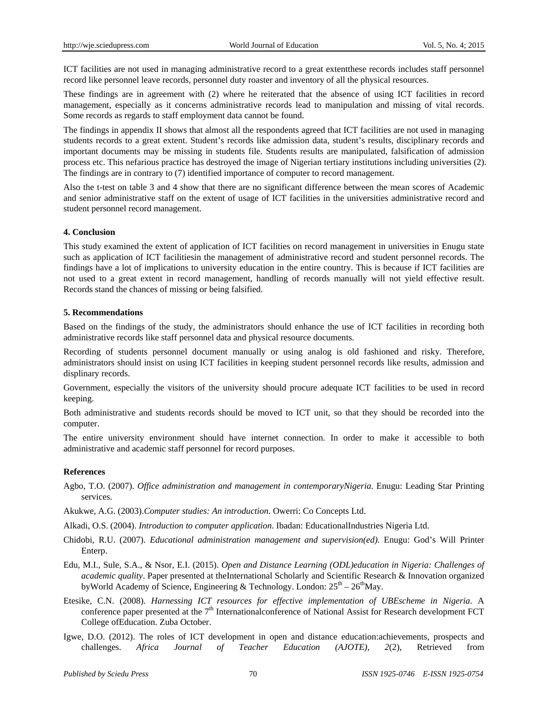ICT facilities are not used in managing administrative record to a great extentthese records includes staff personnel record like personnel leave records, personnel duty roaster and inventory of all the physical resources.

These findings are in agreement with (2) where he reiterated that the absence of using ICT facilities in record management, especially as it concerns administrative records lead to manipulation and missing of vital records. Some records as regards to staff employment data cannot be found.

The findings in appendix II shows that almost all the respondents agreed that ICT facilities are not used in managing students records to a great extent. Student's records like admission data, student's results, disciplinary records and important documents may be missing in students file. Students results are manipulated, falsification of admission process etc. This nefarious practice has destroyed the image of Nigerian tertiary institutions including universities (2). The findings are in contrary to (7) identified importance of computer to record management.

Also the t-test on table 3 and 4 show that there are no significant difference between the mean scores of Academic and senior administrative staff on the extent of usage of ICT facilities in the universities administrative record and student personnel record management.

#### **4. Conclusion**

This study examined the extent of application of ICT facilities on record management in universities in Enugu state such as application of ICT facilitiesin the management of administrative record and student personnel records. The findings have a lot of implications to university education in the entire country. This is because if ICT facilities are not used to a great extent in record management, handling of records manually will not yield effective result. Records stand the chances of missing or being falsified.

#### **5. Recommendations**

Based on the findings of the study, the administrators should enhance the use of ICT facilities in recording both administrative records like staff personnel data and physical resource documents.

Recording of students personnel document manually or using analog is old fashioned and risky. Therefore, administrators should insist on using ICT facilities in keeping student personnel records like results, admission and displinary records.

Government, especially the visitors of the university should procure adequate ICT facilities to be used in record keeping.

Both administrative and students records should be moved to ICT unit, so that they should be recorded into the computer.

The entire university environment should have internet connection. In order to make it accessible to both administrative and academic staff personnel for record purposes.

## **References**

- Agbo, T.O. (2007). *Office administration and management in contemporaryNigeria*. Enugu: Leading Star Printing services.
- Akukwe, A.G. (2003).*Computer studies: An introduction*. Owerri: Co Concepts Ltd.

Alkadi, O.S. (2004). *Introduction to computer application*. Ibadan: EducationalIndustries Nigeria Ltd.

- Chidobi, R.U. (2007). *Educational administration management and supervision(ed).* Enugu: God's Will Printer Enterp.
- Edu, M.I., Sule, S.A., & Nsor, E.I. (2015). *Open and Distance Learning (ODL)education in Nigeria: Challenges of academic quality*. Paper presented at theInternational Scholarly and Scientific Research & Innovation organized byWorld Academy of Science, Engineering & Technology. London:  $25<sup>th</sup> - 26<sup>th</sup>$ May.
- Etesike, C.N. (2008). *Harnessing ICT resources for effective implementation of UBEscheme in Nigeria*. A conference paper presented at the 7<sup>th</sup> Internationalconference of National Assist for Research development FCT College ofEducation. Zuba October.
- Igwe, D.O. (2012). The roles of ICT development in open and distance education:achievements, prospects and challenges. *Africa Journal of Teacher Education (AJOTE), 2*(2), Retrieved from